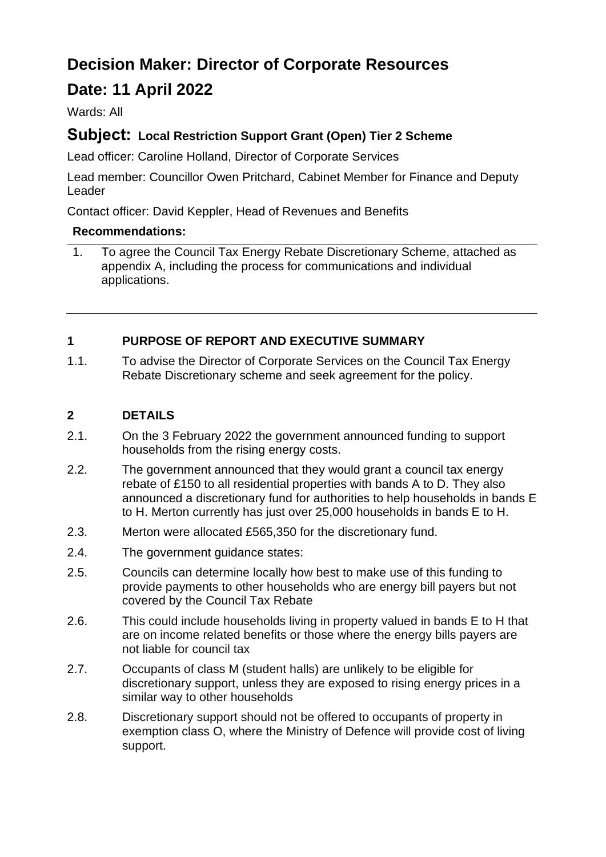# **Decision Maker: Director of Corporate Resources**

# **Date: 11 April 2022**

Wards: All

## **Subject: Local Restriction Support Grant (Open) Tier 2 Scheme**

Lead officer: Caroline Holland, Director of Corporate Services

Lead member: Councillor Owen Pritchard, Cabinet Member for Finance and Deputy Leader

Contact officer: David Keppler, Head of Revenues and Benefits

#### **Recommendations:**

1. To agree the Council Tax Energy Rebate Discretionary Scheme, attached as appendix A, including the process for communications and individual applications.

#### **1 PURPOSE OF REPORT AND EXECUTIVE SUMMARY**

1.1. To advise the Director of Corporate Services on the Council Tax Energy Rebate Discretionary scheme and seek agreement for the policy.

#### **2 DETAILS**

- 2.1. On the 3 February 2022 the government announced funding to support households from the rising energy costs.
- 2.2. The government announced that they would grant a council tax energy rebate of £150 to all residential properties with bands A to D. They also announced a discretionary fund for authorities to help households in bands E to H. Merton currently has just over 25,000 households in bands E to H.
- 2.3. Merton were allocated £565,350 for the discretionary fund.
- 2.4. The government guidance states:
- 2.5. Councils can determine locally how best to make use of this funding to provide payments to other households who are energy bill payers but not covered by the Council Tax Rebate
- 2.6. This could include households living in property valued in bands E to H that are on income related benefits or those where the energy bills payers are not liable for council tax
- 2.7. Occupants of class M (student halls) are unlikely to be eligible for discretionary support, unless they are exposed to rising energy prices in a similar way to other households
- 2.8. Discretionary support should not be offered to occupants of property in exemption class O, where the Ministry of Defence will provide cost of living support.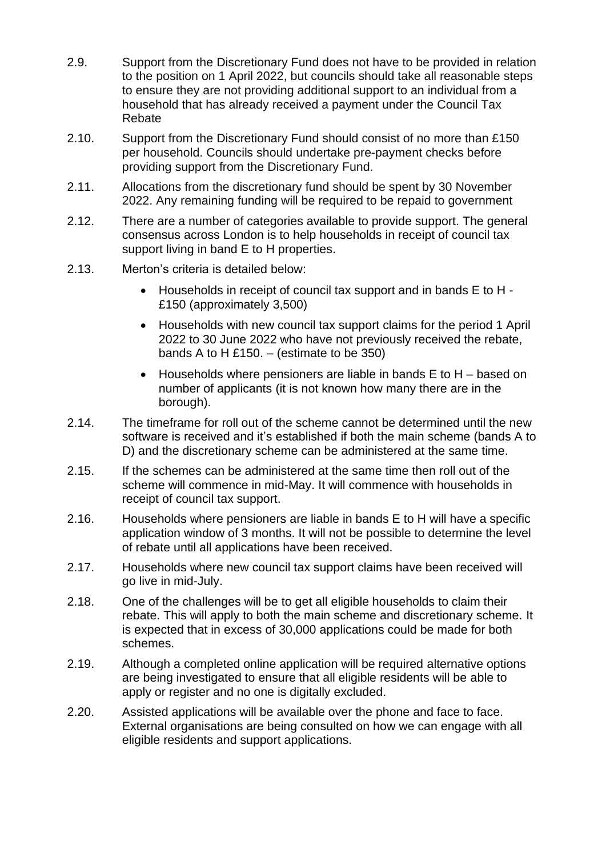- 2.9. Support from the Discretionary Fund does not have to be provided in relation to the position on 1 April 2022, but councils should take all reasonable steps to ensure they are not providing additional support to an individual from a household that has already received a payment under the Council Tax Rebate
- 2.10. Support from the Discretionary Fund should consist of no more than £150 per household. Councils should undertake pre-payment checks before providing support from the Discretionary Fund.
- 2.11. Allocations from the discretionary fund should be spent by 30 November 2022. Any remaining funding will be required to be repaid to government
- 2.12. There are a number of categories available to provide support. The general consensus across London is to help households in receipt of council tax support living in band E to H properties.
- 2.13. Merton's criteria is detailed below:
	- Households in receipt of council tax support and in bands E to H £150 (approximately 3,500)
	- Households with new council tax support claims for the period 1 April 2022 to 30 June 2022 who have not previously received the rebate, bands A to H £150. – (estimate to be 350)
	- Households where pensioners are liable in bands E to H based on number of applicants (it is not known how many there are in the borough).
- 2.14. The timeframe for roll out of the scheme cannot be determined until the new software is received and it's established if both the main scheme (bands A to D) and the discretionary scheme can be administered at the same time.
- 2.15. If the schemes can be administered at the same time then roll out of the scheme will commence in mid-May. It will commence with households in receipt of council tax support.
- 2.16. Households where pensioners are liable in bands E to H will have a specific application window of 3 months. It will not be possible to determine the level of rebate until all applications have been received.
- 2.17. Households where new council tax support claims have been received will go live in mid-July.
- 2.18. One of the challenges will be to get all eligible households to claim their rebate. This will apply to both the main scheme and discretionary scheme. It is expected that in excess of 30,000 applications could be made for both schemes.
- 2.19. Although a completed online application will be required alternative options are being investigated to ensure that all eligible residents will be able to apply or register and no one is digitally excluded.
- 2.20. Assisted applications will be available over the phone and face to face. External organisations are being consulted on how we can engage with all eligible residents and support applications.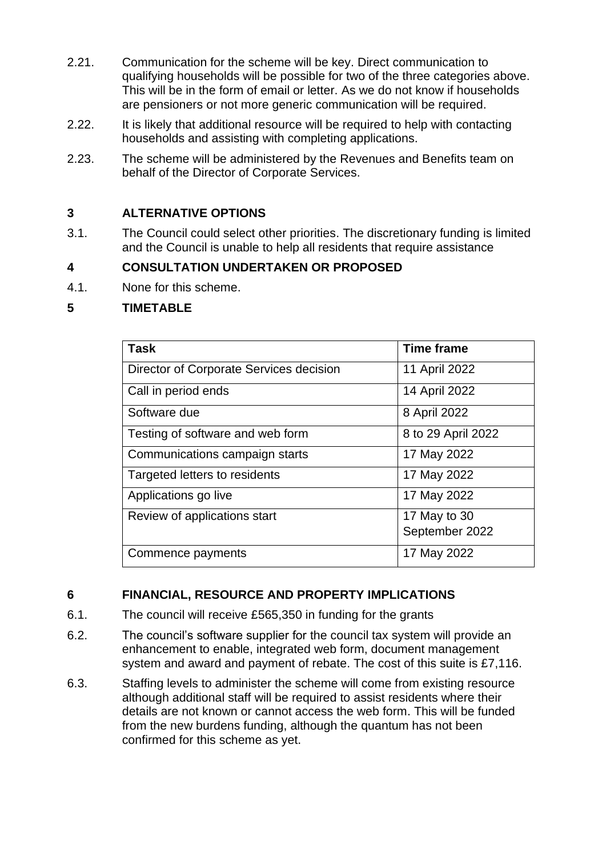- 2.21. Communication for the scheme will be key. Direct communication to qualifying households will be possible for two of the three categories above. This will be in the form of email or letter. As we do not know if households are pensioners or not more generic communication will be required.
- 2.22. It is likely that additional resource will be required to help with contacting households and assisting with completing applications.
- 2.23. The scheme will be administered by the Revenues and Benefits team on behalf of the Director of Corporate Services.

### **3 ALTERNATIVE OPTIONS**

3.1. The Council could select other priorities. The discretionary funding is limited and the Council is unable to help all residents that require assistance

### **4 CONSULTATION UNDERTAKEN OR PROPOSED**

4.1. None for this scheme.

#### **5 TIMETABLE**

| <b>Task</b>                             | <b>Time frame</b>  |
|-----------------------------------------|--------------------|
| Director of Corporate Services decision | 11 April 2022      |
| Call in period ends                     | 14 April 2022      |
| Software due                            | 8 April 2022       |
| Testing of software and web form        | 8 to 29 April 2022 |
| Communications campaign starts          | 17 May 2022        |
| Targeted letters to residents           | 17 May 2022        |
| Applications go live                    | 17 May 2022        |
| Review of applications start            | 17 May to 30       |
|                                         | September 2022     |
| Commence payments                       | 17 May 2022        |

#### **6 FINANCIAL, RESOURCE AND PROPERTY IMPLICATIONS**

- 6.1. The council will receive £565,350 in funding for the grants
- 6.2. The council's software supplier for the council tax system will provide an enhancement to enable, integrated web form, document management system and award and payment of rebate. The cost of this suite is £7,116.
- 6.3. Staffing levels to administer the scheme will come from existing resource although additional staff will be required to assist residents where their details are not known or cannot access the web form. This will be funded from the new burdens funding, although the quantum has not been confirmed for this scheme as yet.